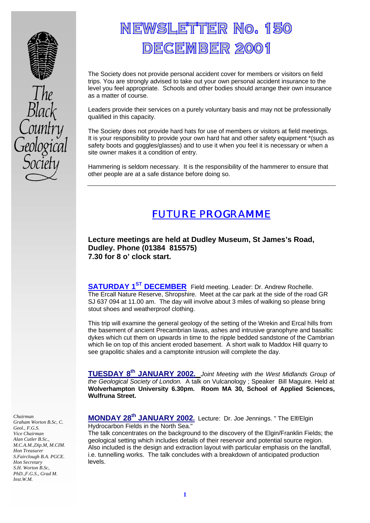

# <u>NEWSLETTER No. 150</u> **DECEMBER 2001**

The Society does not provide personal accident cover for members or visitors on field trips. You are strongly advised to take out your own personal accident insurance to the level you feel appropriate. Schools and other bodies should arrange their own insurance as a matter of course.

Leaders provide their services on a purely voluntary basis and may not be professionally qualified in this capacity.

The Society does not provide hard hats for use of members or visitors at field meetings. It is your responsibility to provide your own hard hat and other safety equipment \*(such as safety boots and goggles/glasses) and to use it when you feel it is necessary or when a site owner makes it a condition of entry.

Hammering is seldom necessary. It is the responsibility of the hammerer to ensure that other people are at a safe distance before doing so.

# FUTURE PROGRAMME

**Lecture meetings are held at Dudley Museum, St James's Road, Dudley. Phone (01384 815575) 7.30 for 8 o' clock start.**

**SATURDAY 1ST DECEMBER** Field meeting. Leader: Dr. Andrew Rochelle. The Ercall Nature Reserve, Shropshire. Meet at the car park at the side of the road GR SJ 637 094 at 11.00 am. The day will involve about 3 miles of walking so please bring stout shoes and weatherproof clothing.

This trip will examine the general geology of the setting of the Wrekin and Ercal hills from the basement of ancient Precambrian lavas, ashes and intrusive granophyre and basaltic dykes which cut them on upwards in time to the ripple bedded sandstone of the Cambrian which lie on top of this ancient eroded basement. A short walk to Maddox Hill quarry to see grapolitic shales and a camptonite intrusion will complete the day.

**TUESDAY 8th JANUARY 2002.** *Joint Meeting with the West Midlands Group of the Geological Society of London.* A talk on Vulcanology ; Speaker Bill Maguire. Held at **Wolverhampton University 6.30pm. Room MA 30, School of Applied Sciences, Wulfruna Street.**

**MONDAY 28th JANUARY 2002.** Lecture: Dr. Joe Jennings. " The Elf/Elgin Hydrocarbon Fields in the North Sea."

The talk concentrates on the background to the discovery of the Elgin/Franklin Fields; the geological setting which includes details of their reservoir and potential source region. Also included is the design and extraction layout with particular emphasis on the landfall, i.e. tunnelling works. The talk concludes with a breakdown of anticipated production levels.

*Chairman Graham Worton B.Sc, C. Geol., F.G.S. Vice Chairman Alan Cutler B.Sc., M.C.A.M.,Dip.M, M.CIM. Hon Treasurer S.Fairclough B.A. PGCE. Hon Secretary S.H. Worton B.Sc, PhD.,F.G.S., Grad M. Inst.W.M.*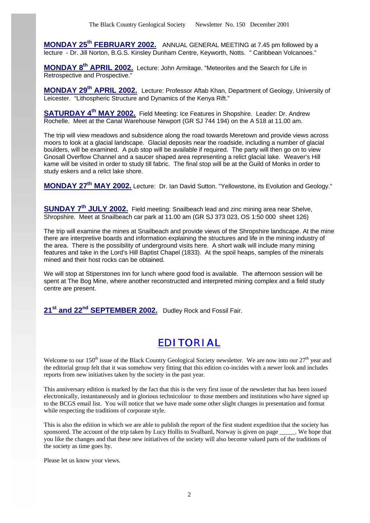**MONDAY 25th FEBRUARY 2002.** ANNUAL GENERAL MEETING at 7.45 pm followed by a lecture - Dr. Jill Norton, B.G.S. Kinsley Dunham Centre, Keyworth, Notts. " Caribbean Volcanoes."

**MONDAY 8th APRIL 2002.** Lecture: John Armitage. "Meteorites and the Search for Life in Retrospective and Prospective."

**MONDAY 29th APRIL 2002.** Lecture: Professor Aftab Khan, Department of Geology, University of Leicester. "Lithospheric Structure and Dynamics of the Kenya Rift."

**SATURDAY 4th MAY 2002.** Field Meeting: Ice Features in Shopshire. Leader: Dr. Andrew Rochelle. Meet at the Canal Warehouse Newport (GR SJ 744 194) on the A 518 at 11.00 am.

The trip will view meadows and subsidence along the road towards Meretown and provide views across moors to look at a glacial landscape. Glacial deposits near the roadside, including a number of glacial boulders, will be examined. A pub stop will be available if required. The party will then go on to view Gnosall Overflow Channel and a saucer shaped area representing a relict glacial lake. Weaver's Hill kame will be visited in order to study till fabric. The final stop will be at the Guild of Monks in order to study eskers and a relict lake shore.

**MONDAY 27th MAY 2002.** Lecture: Dr. Ian David Sutton. "Yellowstone, its Evolution and Geology."

**SUNDAY 7th JULY 2002.** Field meeting: Snailbeach lead and zinc mining area near Shelve, Shropshire. Meet at Snailbeach car park at 11.00 am (GR SJ 373 023, OS 1:50 000 sheet 126)

The trip will examine the mines at Snailbeach and provide views of the Shropshire landscape. At the mine there are interpretive boards and information explaining the structures and life in the mining industry of the area. There is the possibility of underground visits here. A short walk will include many mining features and take in the Lord's Hill Baptist Chapel (1833). At the spoil heaps, samples of the minerals mined and their host rocks can be obtained.

We will stop at Stiperstones Inn for lunch where good food is available. The afternoon session will be spent at The Bog Mine, where another reconstructed and interpreted mining complex and a field study centre are present.

**21st and 22nd SEPTEMBER 2002.** Dudley Rock and Fossil Fair.

## EDITORIAL

Welcome to our  $150<sup>th</sup>$  issue of the Black Country Geological Society newsletter. We are now into our  $27<sup>th</sup>$  year and the editorial group felt that it was somehow very fitting that this edition co-incides with a newer look and includes reports from new initiatives taken by the society in the past year.

This anniversary edition is marked by the fact that this is the very first issue of the newsletter that has been issued electronically, instantaneously and in glorious technicolour to those members and institutions who have signed up to the BCGS email list. You will notice that we have made some other slight changes in presentation and format while respecting the traditions of corporate style.

This is also the edition in which we are able to publish the report of the first student expedition that the society has sponsored. The account of the trip taken by Lucy Hollis to Svalbard, Norway is given on page We hope that you like the changes and that these new initiatives of the society will also become valued parts of the traditions of the society as time goes by.

Please let us know your views.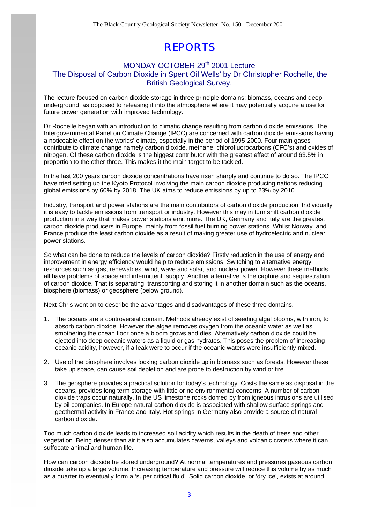# REPORTS

### MONDAY OCTOBER 29<sup>th</sup> 2001 Lecture 'The Disposal of Carbon Dioxide in Spent Oil Wells' by Dr Christopher Rochelle, the British Geological Survey.

The lecture focused on carbon dioxide storage in three principle domains; biomass, oceans and deep underground, as opposed to releasing it into the atmosphere where it may potentially acquire a use for future power generation with improved technology.

Dr Rochelle began with an introduction to climatic change resulting from carbon dioxide emissions. The Intergovernmental Panel on Climate Change (IPCC) are concerned with carbon dioxide emissions having a noticeable effect on the worlds' climate, especially in the period of 1995-2000. Four main gases contribute to climate change namely carbon dioxide, methane, chlorofluorocarbons (CFC's) and oxides of nitrogen. Of these carbon dioxide is the biggest contributor with the greatest effect of around 63.5% in proportion to the other three. This makes it the main target to be tackled.

In the last 200 years carbon dioxide concentrations have risen sharply and continue to do so. The IPCC have tried setting up the Kyoto Protocol involving the main carbon dioxide producing nations reducing global emissions by 60% by 2018. The UK aims to reduce emissions by up to 23% by 2010.

Industry, transport and power stations are the main contributors of carbon dioxide production. Individually it is easy to tackle emissions from transport or industry. However this may in turn shift carbon dioxide production in a way that makes power stations emit more. The UK, Germany and Italy are the greatest carbon dioxide producers in Europe, mainly from fossil fuel burning power stations. Whilst Norway and France produce the least carbon dioxide as a result of making greater use of hydroelectric and nuclear power stations.

So what can be done to reduce the levels of carbon dioxide? Firstly reduction in the use of energy and improvement in energy efficiency would help to reduce emissions. Switching to alternative energy resources such as gas, renewables; wind, wave and solar, and nuclear power. However these methods all have problems of space and intermittent supply. Another alternative is the capture and sequestration of carbon dioxide. That is separating, transporting and storing it in another domain such as the oceans, biosphere (biomass) or geosphere (below ground).

Next Chris went on to describe the advantages and disadvantages of these three domains.

- 1. The oceans are a controversial domain. Methods already exist of seeding algal blooms, with iron, to absorb carbon dioxide. However the algae removes oxygen from the oceanic water as well as smothering the ocean floor once a bloom grows and dies. Alternatively carbon dioxide could be ejected into deep oceanic waters as a liquid or gas hydrates. This poses the problem of increasing oceanic acidity, however, if a leak were to occur if the oceanic waters were insufficiently mixed.
- 2. Use of the biosphere involves locking carbon dioxide up in biomass such as forests. However these take up space, can cause soil depletion and are prone to destruction by wind or fire.
- 3. The geosphere provides a practical solution for today's technology. Costs the same as disposal in the oceans, provides long term storage with little or no environmental concerns. A number of carbon dioxide traps occur naturally. In the US limestone rocks domed by from igneous intrusions are utilised by oil companies. In Europe natural carbon dioxide is associated with shallow surface springs and geothermal activity in France and Italy. Hot springs in Germany also provide a source of natural carbon dioxide.

Too much carbon dioxide leads to increased soil acidity which results in the death of trees and other vegetation. Being denser than air it also accumulates caverns, valleys and volcanic craters where it can suffocate animal and human life.

How can carbon dioxide be stored underground? At normal temperatures and pressures gaseous carbon dioxide take up a large volume. Increasing temperature and pressure will reduce this volume by as much as a quarter to eventually form a 'super critical fluid'. Solid carbon dioxide, or 'dry ice', exists at around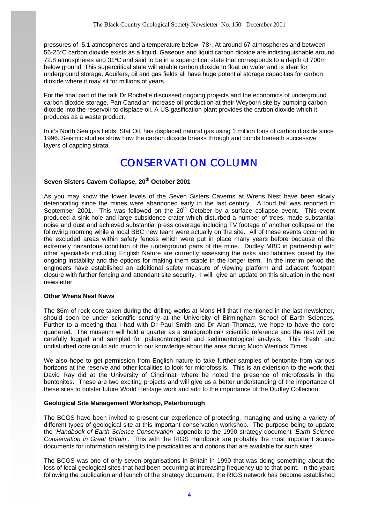pressures of 5.1 atmospheres and a temperature below -78°. At around 67 atmospheres and between 56-25°C carbon dioxide exists as a liquid. Gaseous and liquid carbon dioxide are indistinguishable around 72.8 atmospheres and 31°C and said to be in a supercritical state that corresponds to a depth of 700m below ground. This supercritical state will enable carbon dioxide to float on water and is ideal for underground storage. Aquifers, oil and gas fields all have huge potential storage capacities for carbon dioxide where it may sit for millions of years.

For the final part of the talk Dr Rochelle discussed ongoing projects and the economics of underground carbon dioxide storage. Pan Canadian increase oil production at their Weyborn site by pumping carbon dioxide into the reservoir to displace oil. A US gasification plant provides the carbon dioxide which it produces as a waste product..

In it's North Sea gas fields, Stat Oil, has displaced natural gas using 1 million tons of carbon dioxide since 1996. Seismic studies show how the carbon dioxide breaks through and ponds beneath successive layers of capping strata.

### CONSERVATION COLUMN

#### **Seven Sisters Cavern Collapse, 20th October 2001**

As you may know the lower levels of the Seven Sisters Caverns at Wrens Nest have been slowly deteriorating since the mines were abandoned early in the last century. A loud fall was reported in September 2001. This was followed on the  $20<sup>th</sup>$  October by a surface collapse event. This event produced a sink hole and large subsidence crater which disturbed a number of trees, made substantial noise and dust and achieved substantial press coverage including TV footage of another collapse on the following morning while a local BBC new team were actually on the site. All of these events occurred in the excluded areas within safety fences which were put in place many years before because of the extremely hazardous condition of the underground parts of the mine. Dudley MBC in partnership with other specialists including English Nature are currently assessing the risks and liabilities posed by the ongoing instability and the options for making them stable in the longer term. In the interim period the engineers have established an additional safety measure of viewing platform and adjacent footpath closure with further fencing and attendant site security. I will give an update on this situation in the next newsletter

#### **Other Wrens Nest News**

The 86m of rock core taken during the drilling works at Mons Hill that I mentioned in the last newsletter, should soon be under scientific scrutiny at the University of Birmingham School of Earth Sciences. Further to a meeting that I had with Dr Paul Smith and Dr Alan Thomas, we hope to have the core quartered. The museum will hold a quarter as a stratigraphical/ scientific reference and the rest will be carefully logged and sampled for palaeontological and sedimentological analysis. This 'fresh' and undisturbed core could add much to our knowledge about the area during Much Wenlock Times.

We also hope to get permission from English nature to take further samples of bentonite from various horizons at the reserve and other localities to look for microfossils. This is an extension to the work that David Ray did at the University of Cincinnati where he noted the presence of microfossils in the bentonites. These are two exciting projects and will give us a better understanding of the importance of these sites to bolster future World Heritage work and add to the importance of the Dudley Collection.

#### **Geological Site Management Workshop, Peterborough**

The BCGS have been invited to present our experience of protecting, managing and using a variety of different types of geological site at this important conservation workshop. The purpose being to update the *'Handbook of Earth Science Conservation'* appendix to the 1990 strategy document *'Earth Science Conservation in Great Britain'*. This with the RIGS Handbook are probably the most important source documents for information relating to the practicalities and options that are available for such sites.

The BCGS was one of only seven organisations in Britain in 1990 that was doing something about the loss of local geological sites that had been occurring at increasing frequency up to that point. In the years following the publication and launch of the strategy document, the RIGS network has become established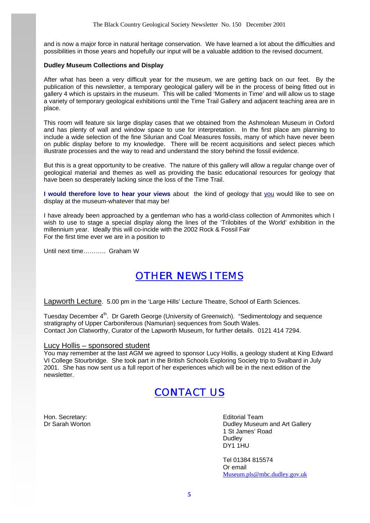and is now a major force in natural heritage conservation. We have learned a lot about the difficulties and possibilities in those years and hopefully our input will be a valuable addition to the revised document.

#### **Dudley Museum Collections and Display**

After what has been a very difficult year for the museum, we are getting back on our feet. By the publication of this newsletter, a temporary geological gallery will be in the process of being fitted out in gallery 4 which is upstairs in the museum. This will be called 'Moments in Time' and will allow us to stage a variety of temporary geological exhibitions until the Time Trail Gallery and adjacent teaching area are in place.

This room will feature six large display cases that we obtained from the Ashmolean Museum in Oxford and has plenty of wall and window space to use for interpretation. In the first place am planning to include a wide selection of the fine Silurian and Coal Measures fossils, many of which have never been on public display before to my knowledge. There will be recent acquisitions and select pieces which illustrate processes and the way to read and understand the story behind the fossil evidence.

But this is a great opportunity to be creative. The nature of this gallery will allow a regular change over of geological material and themes as well as providing the basic educational resources for geology that have been so desperately lacking since the loss of the Time Trail.

**I would therefore love to hear your views** about the kind of geology that you would like to see on display at the museum-whatever that may be!

I have already been approached by a gentleman who has a world-class collection of Ammonites which I wish to use to stage a special display along the lines of the 'Trilobites of the World' exhibition in the millennium year. Ideally this will co-incide with the 2002 Rock & Fossil Fair For the first time ever we are in a position to

Until next time……….. Graham W

## OTHER NEWS ITEMS

Lapworth Lecture. 5.00 pm in the 'Large Hills' Lecture Theatre, School of Earth Sciences.

Tuesday December 4<sup>th</sup>. Dr Gareth George (University of Greenwich). "Sedimentology and sequence stratigraphy of Upper Carboniferous (Namurian) sequences from South Wales. Contact Jon Clatworthy, Curator of the Lapworth Museum, for further details. 0121 414 7294.

#### Lucy Hollis – sponsored student

You may remember at the last AGM we agreed to sponsor Lucy Hollis, a geology student at King Edward VI College Stourbridge. She took part in the British Schools Exploring Society trip to Svalbard in July 2001. She has now sent us a full report of her experiences which will be in the next edition of the newsletter.

# CONTACT US

Hon. Secretary: Editorial Team<br>
Discrete Books and the Control of Control of Control of Control of Control of Control of Control of Control o<br>
Dudley Museur

Dudley Museum and Art Gallery 1 St James' Road Dudley DY1 1HU

Tel 01384 815574 Or email Museum.pls@mbc.dudley.gov.uk